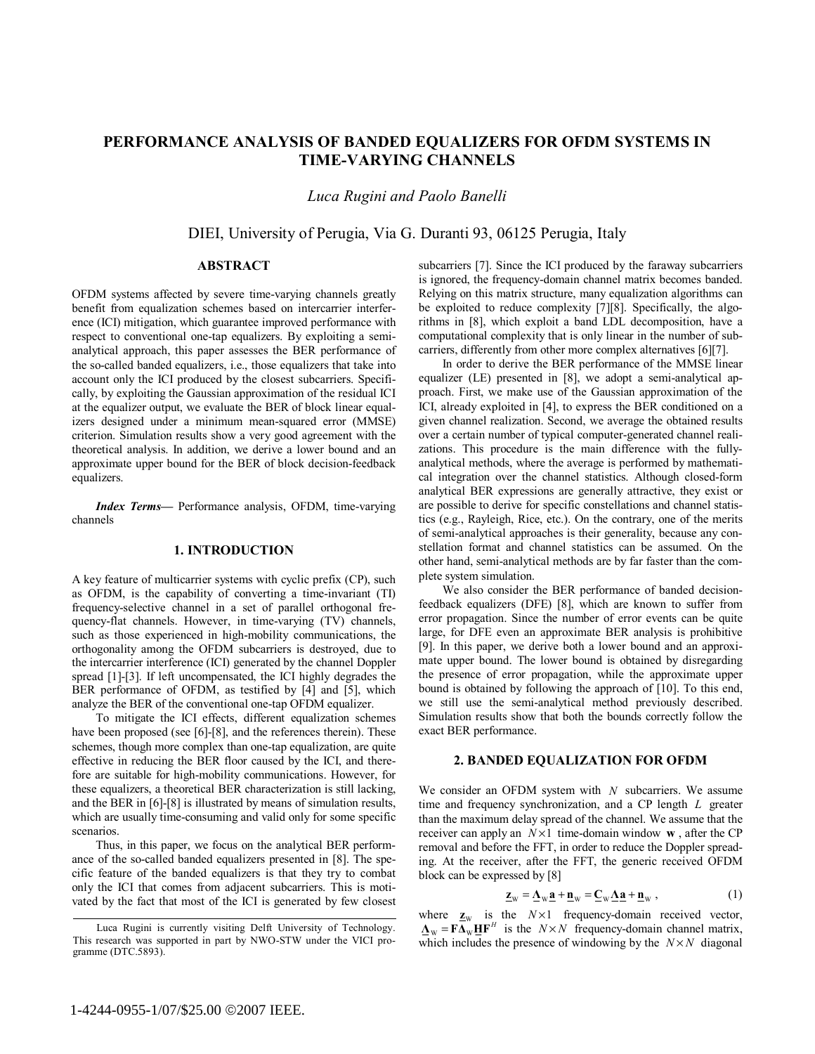# **PERFORMANCE ANALYSIS OF BANDED EQUALIZERS FOR OFDM SYSTEMS IN TIME-VARYING CHANNELS**

*Luca Rugini and Paolo Banelli* 

DIEI, University of Perugia, Via G. Duranti 93, 06125 Perugia, Italy

## **ABSTRACT**

OFDM systems affected by severe time-varying channels greatly benefit from equalization schemes based on intercarrier interference (ICI) mitigation, which guarantee improved performance with respect to conventional one-tap equalizers. By exploiting a semianalytical approach, this paper assesses the BER performance of the so-called banded equalizers, i.e., those equalizers that take into account only the ICI produced by the closest subcarriers. Specifically, by exploiting the Gaussian approximation of the residual ICI at the equalizer output, we evaluate the BER of block linear equalizers designed under a minimum mean-squared error (MMSE) criterion. Simulation results show a very good agreement with the theoretical analysis. In addition, we derive a lower bound and an approximate upper bound for the BER of block decision-feedback equalizers.

*Index Terms—* Performance analysis, OFDM, time-varying channels

## **1. INTRODUCTION**

A key feature of multicarrier systems with cyclic prefix (CP), such as OFDM, is the capability of converting a time-invariant (TI) frequency-selective channel in a set of parallel orthogonal frequency-flat channels. However, in time-varying (TV) channels, such as those experienced in high-mobility communications, the orthogonality among the OFDM subcarriers is destroyed, due to the intercarrier interference (ICI) generated by the channel Doppler spread [1]-[3]. If left uncompensated, the ICI highly degrades the BER performance of OFDM, as testified by [4] and [5], which analyze the BER of the conventional one-tap OFDM equalizer.

To mitigate the ICI effects, different equalization schemes have been proposed (see [6]-[8], and the references therein). These schemes, though more complex than one-tap equalization, are quite effective in reducing the BER floor caused by the ICI, and therefore are suitable for high-mobility communications. However, for these equalizers, a theoretical BER characterization is still lacking, and the BER in [6]-[8] is illustrated by means of simulation results, which are usually time-consuming and valid only for some specific scenarios.

Thus, in this paper, we focus on the analytical BER performance of the so-called banded equalizers presented in [8]. The specific feature of the banded equalizers is that they try to combat only the ICI that comes from adjacent subcarriers. This is motivated by the fact that most of the ICI is generated by few closest

subcarriers [7]. Since the ICI produced by the faraway subcarriers is ignored, the frequency-domain channel matrix becomes banded. Relying on this matrix structure, many equalization algorithms can be exploited to reduce complexity [7][8]. Specifically, the algorithms in [8], which exploit a band LDL decomposition, have a computational complexity that is only linear in the number of subcarriers, differently from other more complex alternatives [6][7].

In order to derive the BER performance of the MMSE linear equalizer (LE) presented in [8], we adopt a semi-analytical approach. First, we make use of the Gaussian approximation of the ICI, already exploited in [4], to express the BER conditioned on a given channel realization. Second, we average the obtained results over a certain number of typical computer-generated channel realizations. This procedure is the main difference with the fullyanalytical methods, where the average is performed by mathematical integration over the channel statistics. Although closed-form analytical BER expressions are generally attractive, they exist or are possible to derive for specific constellations and channel statistics (e.g., Rayleigh, Rice, etc.). On the contrary, one of the merits of semi-analytical approaches is their generality, because any constellation format and channel statistics can be assumed. On the other hand, semi-analytical methods are by far faster than the complete system simulation.

We also consider the BER performance of banded decisionfeedback equalizers (DFE) [8], which are known to suffer from error propagation. Since the number of error events can be quite large, for DFE even an approximate BER analysis is prohibitive [9]. In this paper, we derive both a lower bound and an approximate upper bound. The lower bound is obtained by disregarding the presence of error propagation, while the approximate upper bound is obtained by following the approach of [10]. To this end, we still use the semi-analytical method previously described. Simulation results show that both the bounds correctly follow the exact BER performance.

## **2. BANDED EQUALIZATION FOR OFDM**

We consider an OFDM system with *N* subcarriers. We assume time and frequency synchronization, and a CP length *L* greater than the maximum delay spread of the channel. We assume that the receiver can apply an  $N \times 1$  time-domain window **w**, after the CP removal and before the FFT, in order to reduce the Doppler spreading. At the receiver, after the FFT, the generic received OFDM block can be expressed by [8]

$$
\underline{\mathbf{z}}_{\mathbf{w}} = \underline{\mathbf{\Lambda}}_{\mathbf{w}} \underline{\mathbf{a}} + \underline{\mathbf{n}}_{\mathbf{w}} = \underline{\mathbf{C}}_{\mathbf{w}} \underline{\mathbf{\Lambda}} \underline{\mathbf{a}} + \underline{\mathbf{n}}_{\mathbf{w}} \,, \tag{1}
$$

where  $\mathbf{z}_w$  is the  $N \times 1$  frequency-domain received vector,  $\mathbf{\underline{A}}_{\mathbf{W}} = \mathbf{F} \overline{\mathbf{\underline{A}}_{\mathbf{W}}} \mathbf{\underline{H}} \mathbf{F}^{H}$  is the  $N \times N$  frequency-domain channel matrix, which includes the presence of windowing by the  $N \times N$  diagonal

Luca Rugini is currently visiting Delft University of Technology. This research was supported in part by NWO-STW under the VICI programme (DTC.5893).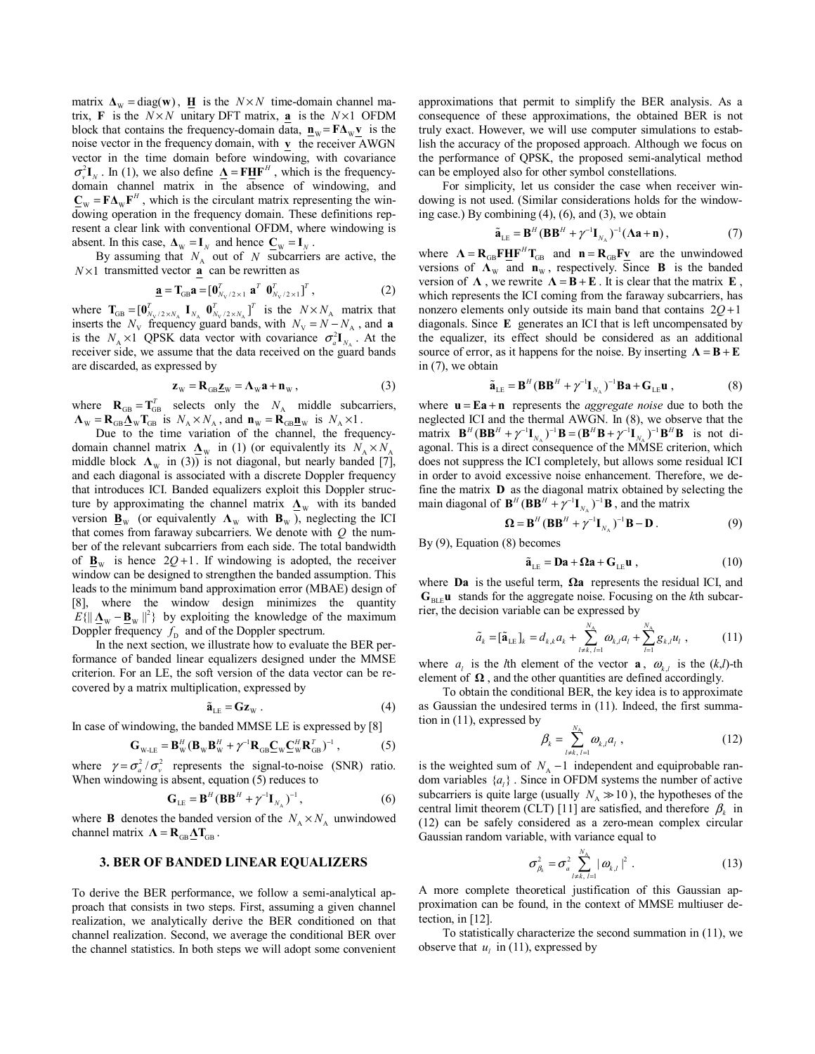matrix  $\mathbf{\Lambda}_{\mathbf{W}} = \text{diag}(\mathbf{w})$ ,  $\mathbf{\underline{H}}$  is the  $N \times N$  time-domain channel matrix, **F** is the  $N \times N$  unitary DFT matrix, **a** is the  $N \times 1$  OFDM block that contains the frequency-domain data,  $\mathbf{n}_w = \mathbf{F} \Delta_w \mathbf{v}$  is the noise vector in the frequency domain, with **v** the receiver AWGN vector in the time domain before windowing, with covariance  $\sigma_v^2 \mathbf{I}_v$ . In (1), we also define  $\mathbf{\Lambda} = \mathbf{F} \mathbf{H} \mathbf{F}^H$ , which is the frequencydomain channel matrix in the absence of windowing, and  $\mathbf{C}_{\mathbf{W}} = \mathbf{F} \mathbf{\Delta}_{\mathbf{W}} \mathbf{F}^H$ , which is the circulant matrix representing the windowing operation in the frequency domain. These definitions represent a clear link with conventional OFDM, where windowing is absent. In this case,  $\Delta_W = I_N$  and hence  $C_W = I_N$ .

By assuming that  $N_A$  out of  $N$  subcarriers are active, the  $N \times 1$  transmitted vector **a** can be rewritten as

$$
\underline{\mathbf{a}} = \mathbf{T}_{GB} \mathbf{a} = [\mathbf{0}_{N_V/2 \times 1}^T \ \mathbf{a}^T \ \mathbf{0}_{N_V/2 \times 1}^T]^T, \tag{2}
$$

where  $\mathbf{T}_{GB} = [\mathbf{0}_{N_{\rm V}/2 \times N_{\rm A}}^T \mathbf{I}_{N_{\rm A}} \mathbf{0}_{N_{\rm V}/2 \times N_{\rm A}}^T]^T$  is the  $N \times N_{\rm A}$  matrix that inserts the  $N_V$  frequency guard bands, with  $N_V = N - N_A$ , and **a** is the  $N_A \times 1$  QPSK data vector with covariance  $\sigma_a^2 \mathbf{I}_{N_A}$ . At the receiver side, we assume that the data received on the guard bands are discarded, as expressed by

$$
\mathbf{z}_{\rm w} = \mathbf{R}_{\rm GB} \mathbf{z}_{\rm w} = \mathbf{\Lambda}_{\rm w} \mathbf{a} + \mathbf{n}_{\rm w} \,, \tag{3}
$$

where  $\mathbf{R}_{GB} = \mathbf{T}_{GB}^T$  selects only the  $N_A$  middle subcarriers,  $\mathbf{\Lambda}_{\text{W}} = \mathbf{R}_{\text{GB}} \mathbf{\underline{\Lambda}}_{\text{W}} \mathbf{T}_{\text{GB}}$  is  $N_A \times N_A$ , and  $\mathbf{n}_{\text{W}} = \mathbf{R}_{\text{GB}} \mathbf{\underline{n}}_{\text{W}}$  is  $N_A \times 1$ .

Due to the time variation of the channel, the frequencydomain channel matrix  $\Delta_W$  in (1) (or equivalently its  $N_A \times N_A$ middle block  $\Lambda_w$  in (3)) is not diagonal, but nearly banded [7], and each diagonal is associated with a discrete Doppler frequency that introduces ICI. Banded equalizers exploit this Doppler structure by approximating the channel matrix  $\mathbf{\underline{\Lambda}}_W$  with its banded version  $\mathbf{B}_W$  (or equivalently  $\Lambda_W$  with  $\mathbf{B}_W$ ), neglecting the ICI that comes from faraway subcarriers. We denote with *Q* the number of the relevant subcarriers from each side. The total bandwidth of  $\mathbf{B}_W$  is hence  $2Q+1$ . If windowing is adopted, the receiver window can be designed to strengthen the banded assumption. This leads to the minimum band approximation error (MBAE) design of [8], where the window design minimizes the quantity  $E\{\|\Delta_{\mathbf{w}} - \mathbf{B}_{\mathbf{w}}\|^2\}$  by exploiting the knowledge of the maximum Doppler frequency  $f<sub>p</sub>$  and of the Doppler spectrum.

In the next section, we illustrate how to evaluate the BER performance of banded linear equalizers designed under the MMSE criterion. For an LE, the soft version of the data vector can be recovered by a matrix multiplication, expressed by

$$
\tilde{\mathbf{a}}_{\text{LE}} = \mathbf{G} \mathbf{z}_{\text{W}} . \tag{4}
$$

In case of windowing, the banded MMSE LE is expressed by [8]

$$
\mathbf{G}_{\text{WLE}} = \mathbf{B}_{\text{W}}^H (\mathbf{B}_{\text{W}} \mathbf{B}_{\text{W}}^H + \gamma^{-1} \mathbf{R}_{\text{GB}} \underline{\mathbf{C}}_{\text{W}} \underline{\mathbf{C}}_{\text{W}}^H \mathbf{R}_{\text{GB}}^T)^{-1}, \qquad (5)
$$

where  $\gamma = \sigma_a^2 / \sigma_v^2$  represents the signal-to-noise (SNR) ratio. When windowing is absent, equation (5) reduces to

$$
\mathbf{G}_{\text{LE}} = \mathbf{B}^H (\mathbf{B} \mathbf{B}^H + \gamma^{-1} \mathbf{I}_{N_A})^{-1}, \tag{6}
$$

where **B** denotes the banded version of the  $N_A \times N_A$  unwindowed channel matrix  $\Lambda = \mathbf{R}_{GB} \Delta \mathbf{T}_{GB}$ .

## **3. BER OF BANDED LINEAR EQUALIZERS**

To derive the BER performance, we follow a semi-analytical approach that consists in two steps. First, assuming a given channel realization, we analytically derive the BER conditioned on that channel realization. Second, we average the conditional BER over the channel statistics. In both steps we will adopt some convenient approximations that permit to simplify the BER analysis. As a consequence of these approximations, the obtained BER is not truly exact. However, we will use computer simulations to establish the accuracy of the proposed approach. Although we focus on the performance of QPSK, the proposed semi-analytical method can be employed also for other symbol constellations.

For simplicity, let us consider the case when receiver windowing is not used. (Similar considerations holds for the windowing case.) By combining  $(4)$ ,  $(6)$ , and  $(3)$ , we obtain

$$
\tilde{\mathbf{a}}_{\text{LE}} = \mathbf{B}^H (\mathbf{B} \mathbf{B}^H + \gamma^{-1} \mathbf{I}_{N_A})^{-1} (\mathbf{\Lambda} \mathbf{a} + \mathbf{n}), \qquad (7)
$$

where  $\Lambda = \mathbf{R}_{GB} \mathbf{F} \underline{\mathbf{H}} \mathbf{F}^H \mathbf{T}_{GB}$  and  $\mathbf{n} = \mathbf{R}_{GB} \mathbf{F} \underline{\mathbf{v}}$  are the unwindowed versions of  $\Lambda_{\text{W}}$  and  $\mathbf{n}_{\text{W}}$ , respectively. Since **B** is the banded version of  $\Lambda$ , we rewrite  $\Lambda = B + E$ . It is clear that the matrix **E**, which represents the ICI coming from the faraway subcarriers, has nonzero elements only outside its main band that contains  $2Q + 1$ diagonals. Since **E** generates an ICI that is left uncompensated by the equalizer, its effect should be considered as an additional source of error, as it happens for the noise. By inserting  $\Lambda = B + E$ in (7), we obtain

$$
\tilde{\mathbf{a}}_{\text{LE}} = \mathbf{B}^H (\mathbf{B} \mathbf{B}^H + \gamma^{-1} \mathbf{I}_{N_A})^{-1} \mathbf{B} \mathbf{a} + \mathbf{G}_{\text{LE}} \mathbf{u} ,
$$
 (8)

where  $\mathbf{u} = \mathbf{E}\mathbf{a} + \mathbf{n}$  represents the *aggregate noise* due to both the neglected ICI and the thermal AWGN. In (8), we observe that the matrix  $\mathbf{B}^H (\mathbf{B} \mathbf{B}^H + \gamma^{-1} \mathbf{I}_{N_A})^{-1} \mathbf{B} = (\mathbf{B}^H \mathbf{B} + \gamma^{-1} \mathbf{I}_{N_A})^{-1} \mathbf{B}^H \mathbf{B}$  is not diagonal. This is a direct consequence of the MMSE criterion, which does not suppress the ICI completely, but allows some residual ICI in order to avoid excessive noise enhancement. Therefore, we define the matrix **D** as the diagonal matrix obtained by selecting the main diagonal of  $\mathbf{B}^H(\mathbf{B}\mathbf{B}^H + \gamma^{-1}\mathbf{I}_{N_A})^{-1}\mathbf{B}$ , and the matrix

$$
\mathbf{\Omega} = \mathbf{B}^H (\mathbf{B} \mathbf{B}^H + \gamma^{-1} \mathbf{I}_{N_A})^{-1} \mathbf{B} - \mathbf{D} . \tag{9}
$$

By (9), Equation (8) becomes

$$
\tilde{\mathbf{a}}_{\text{LE}} = \mathbf{D}\mathbf{a} + \mathbf{\Omega}\mathbf{a} + \mathbf{G}_{\text{LE}}\mathbf{u} \tag{10}
$$

where **Da** is the useful term, **Ωa** represents the residual ICI, and  $G<sub>BIF</sub>$ **u** stands for the aggregate noise. Focusing on the *k*th subcarrier, the decision variable can be expressed by

$$
\tilde{a}_{k} = [\tilde{\mathbf{a}}_{LE}]_{k} = d_{k,k} a_{k} + \sum_{l \neq k, l=1}^{N_{A}} \omega_{k,l} a_{l} + \sum_{l=1}^{N_{A}} g_{k,l} u_{l}, \qquad (11)
$$

where  $a_i$  is the *l*th element of the vector **a**,  $\omega_{k,l}$  is the  $(k,l)$ -th element of **Ω** , and the other quantities are defined accordingly.

To obtain the conditional BER, the key idea is to approximate as Gaussian the undesired terms in (11). Indeed, the first summation in  $(11)$ , expressed by

$$
\beta_k = \sum_{l \neq k, l=1}^{N_A} \omega_{k,l} a_l , \qquad (12)
$$

is the weighted sum of  $N_A - 1$  independent and equiprobable random variables  $\{a_i\}$ . Since in OFDM systems the number of active subcarriers is quite large (usually  $N_A \gg 10$ ), the hypotheses of the central limit theorem (CLT) [11] are satisfied, and therefore  $\beta_k$  in (12) can be safely considered as a zero-mean complex circular Gaussian random variable, with variance equal to

$$
\sigma_{\beta_k}^2 = \sigma_a^2 \sum_{l \neq k, l=1}^{N_A} |\omega_{k,l}|^2.
$$
 (13)

A more complete theoretical justification of this Gaussian approximation can be found, in the context of MMSE multiuser detection, in [12].

To statistically characterize the second summation in (11), we observe that  $u_i$  in (11), expressed by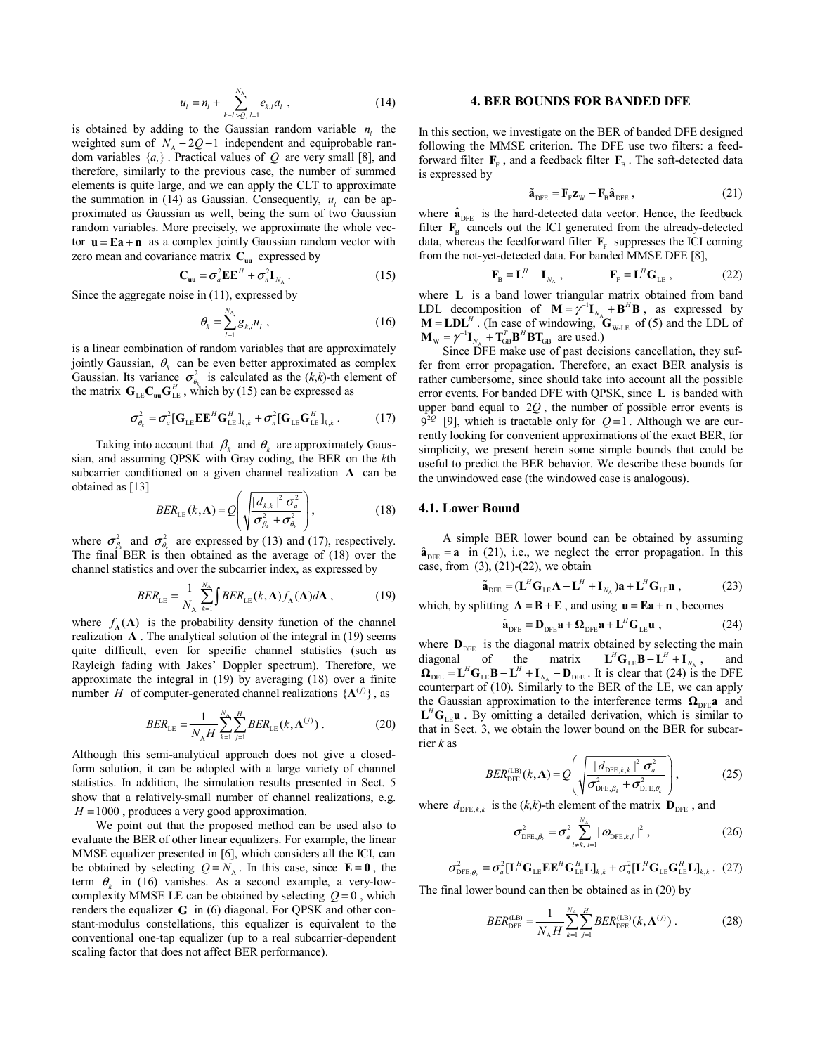$$
u_{l} = n_{l} + \sum_{|k-l| \geq Q, l=1}^{N_{A}} e_{k,l} a_{l} , \qquad (14)
$$

is obtained by adding to the Gaussian random variable  $n_i$ , the weighted sum of  $N_A - 2Q - 1$  independent and equiprobable random variables  $\{a_i\}$ . Practical values of *Q* are very small [8], and therefore, similarly to the previous case, the number of summed elements is quite large, and we can apply the CLT to approximate the summation in (14) as Gaussian. Consequently,  $u_i$  can be approximated as Gaussian as well, being the sum of two Gaussian random variables. More precisely, we approximate the whole vector  $\mathbf{u} = \mathbf{E}\mathbf{a} + \mathbf{n}$  as a complex jointly Gaussian random vector with zero mean and covariance matrix  $C_{\text{uu}}$  expressed by

$$
\mathbf{C}_{\mathbf{uu}} = \sigma_a^2 \mathbf{E} \mathbf{E}^H + \sigma_n^2 \mathbf{I}_{N_A} \,. \tag{15}
$$

Since the aggregate noise in (11), expressed by

$$
\theta_k = \sum_{l=1}^{N_\text{A}} g_{k,l} u_l \tag{16}
$$

is a linear combination of random variables that are approximately jointly Gaussian,  $\theta_k$  can be even better approximated as complex Gaussian. Its variance  $\sigma_{\theta_k}^2$  is calculated as the  $(k, k)$ -th element of the matrix  $\mathbf{G}_{\text{LE}} \mathbf{C}_{\text{uu}} \mathbf{G}_{\text{LE}}^H$ , which by (15) can be expressed as

$$
\sigma_{\theta_k}^2 = \sigma_a^2 [\mathbf{G}_{\text{LE}} \mathbf{E} \mathbf{E}^H \mathbf{G}_{\text{LE}}^H]_{k,k} + \sigma_n^2 [\mathbf{G}_{\text{LE}} \mathbf{G}_{\text{LE}}^H]_{k,k} .
$$
 (17)

Taking into account that  $\beta_k$  and  $\theta_k$  are approximately Gaussian, and assuming QPSK with Gray coding, the BER on the *k*th subcarrier conditioned on a given channel realization **Λ** can be obtained as  $[13]$ 

$$
BER_{LE}(k,\Lambda) = Q\left(\sqrt{\frac{|d_{k,k}|^2 \sigma_a^2}{\sigma_{\beta_k}^2 + \sigma_{\theta_k}^2}}\right),
$$
\n(18)

where  $\sigma_{\beta_k}^2$  and  $\sigma_{\theta_k}^2$  are expressed by (13) and (17), respectively. The final BER is then obtained as the average of (18) over the channel statistics and over the subcarrier index, as expressed by

$$
BER_{LE} = \frac{1}{N_{A}} \sum_{k=1}^{N_{A}} \int BER_{LE}(k, \Lambda) f_{\Lambda}(\Lambda) d\Lambda ,
$$
 (19)

where  $f_{\lambda}(\Lambda)$  is the probability density function of the channel realization  $\Lambda$ . The analytical solution of the integral in (19) seems quite difficult, even for specific channel statistics (such as Rayleigh fading with Jakes' Doppler spectrum). Therefore, we approximate the integral in (19) by averaging (18) over a finite number *H* of computer-generated channel realizations  $\{\mathbf\Lambda^{(j)}\}$ , as

$$
BER_{LE} = \frac{1}{N_A H} \sum_{k=1}^{N_A} \sum_{j=1}^{H} BER_{LE}(k, \Lambda^{(j)})
$$
 (20)

Although this semi-analytical approach does not give a closedform solution, it can be adopted with a large variety of channel statistics. In addition, the simulation results presented in Sect. 5 show that a relatively-small number of channel realizations, e.g.  $H = 1000$ , produces a very good approximation.

We point out that the proposed method can be used also to evaluate the BER of other linear equalizers. For example, the linear MMSE equalizer presented in [6], which considers all the ICI, can be obtained by selecting  $Q = N_A$ . In this case, since **E** = 0, the term  $\theta_k$  in (16) vanishes. As a second example, a very-lowcomplexity MMSE LE can be obtained by selecting  $Q = 0$ , which renders the equalizer **G** in (6) diagonal. For QPSK and other constant-modulus constellations, this equalizer is equivalent to the conventional one-tap equalizer (up to a real subcarrier-dependent scaling factor that does not affect BER performance).

## **4. BER BOUNDS FOR BANDED DFE**

In this section, we investigate on the BER of banded DFE designed following the MMSE criterion. The DFE use two filters: a feedforward filter  $\mathbf{F}_F$ , and a feedback filter  $\mathbf{F}_B$ . The soft-detected data is expressed by

$$
\tilde{\mathbf{a}}_{\text{DFE}} = \mathbf{F}_{\text{F}} \mathbf{z}_{\text{W}} - \mathbf{F}_{\text{B}} \hat{\mathbf{a}}_{\text{DFE}} \,, \tag{21}
$$

where  $\hat{\mathbf{a}}_{\text{DEF}}$  is the hard-detected data vector. Hence, the feedback filter  $\mathbf{F}_{\text{B}}$  cancels out the ICI generated from the already-detected data, whereas the feedforward filter  $\mathbf{F}_{\text{F}}$  suppresses the ICI coming from the not-yet-detected data. For banded MMSE DFE [8],

$$
\mathbf{F}_{\mathrm{B}} = \mathbf{L}^{H} - \mathbf{I}_{N_{\mathrm{A}}}, \qquad \qquad \mathbf{F}_{\mathrm{F}} = \mathbf{L}^{H} \mathbf{G}_{\mathrm{LE}} , \qquad (22)
$$

where **L** is a band lower triangular matrix obtained from band LDL decomposition of **M** =  $\gamma^{-1}$ **I**<sub>*N*A</sub> + **B<sup>***H***</sup> B**, as expressed by **M** = **LDL**<sup>*H*</sup>. (In case of windowing, **G**<sub>W-LE</sub> of (5) and the LDL of  $\mathbf{M}_{\text{w}} = \gamma^{-1} \mathbf{I}_{N_{\text{A}}} + \mathbf{T}_{\text{GB}}^T \mathbf{B}^H \mathbf{B} \mathbf{T}_{\text{GB}}$  are used.)

Since DFE make use of past decisions cancellation, they suffer from error propagation. Therefore, an exact BER analysis is rather cumbersome, since should take into account all the possible error events. For banded DFE with QPSK, since **L** is banded with upper band equal to 2*Q*, the number of possible error events is  $9^{2Q}$  [9], which is tractable only for *Q* = 1. Although we are currently looking for convenient approximations of the exact BER, for simplicity, we present herein some simple bounds that could be useful to predict the BER behavior. We describe these bounds for the unwindowed case (the windowed case is analogous).

#### **4.1. Lower Bound**

A simple BER lower bound can be obtained by assuming  $\hat{\mathbf{a}}_{\text{DEF}} = \mathbf{a}$  in (21), i.e., we neglect the error propagation. In this case, from  $(3)$ ,  $(21)-(22)$ , we obtain

$$
\tilde{\mathbf{a}}_{\text{DFE}} = (\mathbf{L}^H \mathbf{G}_{\text{LE}} \mathbf{\Lambda} - \mathbf{L}^H + \mathbf{I}_{N_A}) \mathbf{a} + \mathbf{L}^H \mathbf{G}_{\text{LE}} \mathbf{n} \tag{23}
$$

which, by splitting  $\Lambda = B + E$ , and using  $\mathbf{u} = E\mathbf{a} + \mathbf{n}$ , becomes

$$
\tilde{\mathbf{a}}_{\text{DFE}} = \mathbf{D}_{\text{DFE}} \mathbf{a} + \mathbf{\Omega}_{\text{DFE}} \mathbf{a} + \mathbf{L}^H \mathbf{G}_{\text{LE}} \mathbf{u} \tag{24}
$$

where  $\mathbf{D}_{\text{DFE}}$  is the diagonal matrix obtained by selecting the main diagonal of the matrix  $\mathbf{L}^H \mathbf{G}_{\text{LF}} \mathbf{B} - \mathbf{L}^H + \mathbf{I}_N$ , and diagonal of the matrix  $\mathbf{L}^H \mathbf{G}_{\text{LE}} \mathbf{B} - \mathbf{L}^H + \mathbf{I}_{N_A}$ , and  $\Omega_{\text{DFE}} = L^H G_{\text{LE}} B - L^H + I_{N_A} - D_{\text{DFE}}$ . It is clear that (24) is the DFE counterpart of (10). Similarly to the BER of the LE, we can apply the Gaussian approximation to the interference terms  $\Omega_{\text{DFE}}$ **a** and  $L^H G_{LE}$ **u** . By omitting a detailed derivation, which is similar to that in Sect. 3, we obtain the lower bound on the BER for subcarrier *k* as

$$
BER_{\text{DFE}}^{(\text{LB})}(k,\Lambda) = Q\left(\sqrt{\frac{|d_{\text{DFE},k,k}|^2 \sigma_a^2}{\sigma_{\text{DFE},\beta_k}^2 + \sigma_{\text{DFE},\theta_k}^2}}\right),\tag{25}
$$

where  $d_{\text{DFE}, k, k}$  is the (*k*,*k*)-th element of the matrix  $\mathbf{D}_{\text{DFE}}$ , and

$$
\sigma_{\text{DFE},\beta_k}^2 = \sigma_a^2 \sum_{l \neq k, l=1}^{N_{\text{A}}} |\omega_{\text{DFE},k,l}|^2 ,
$$
 (26)

$$
\sigma_{\text{DFE},\theta_k}^2 = \sigma_a^2 [\mathbf{L}^H \mathbf{G}_{\text{LE}} \mathbf{E} \mathbf{E}^H \mathbf{G}_{\text{LE}}^H \mathbf{L}]_{k,k} + \sigma_n^2 [\mathbf{L}^H \mathbf{G}_{\text{LE}} \mathbf{G}_{\text{LE}}^H \mathbf{L}]_{k,k}.
$$
 (27)

The final lower bound can then be obtained as in (20) by

$$
BER_{\text{DFE}}^{(\text{LB})} = \frac{1}{N_A H} \sum_{k=1}^{N_A} \sum_{j=1}^{H} BER_{\text{DFE}}^{(\text{LB})}(k, \Lambda^{(j)}) . \tag{28}
$$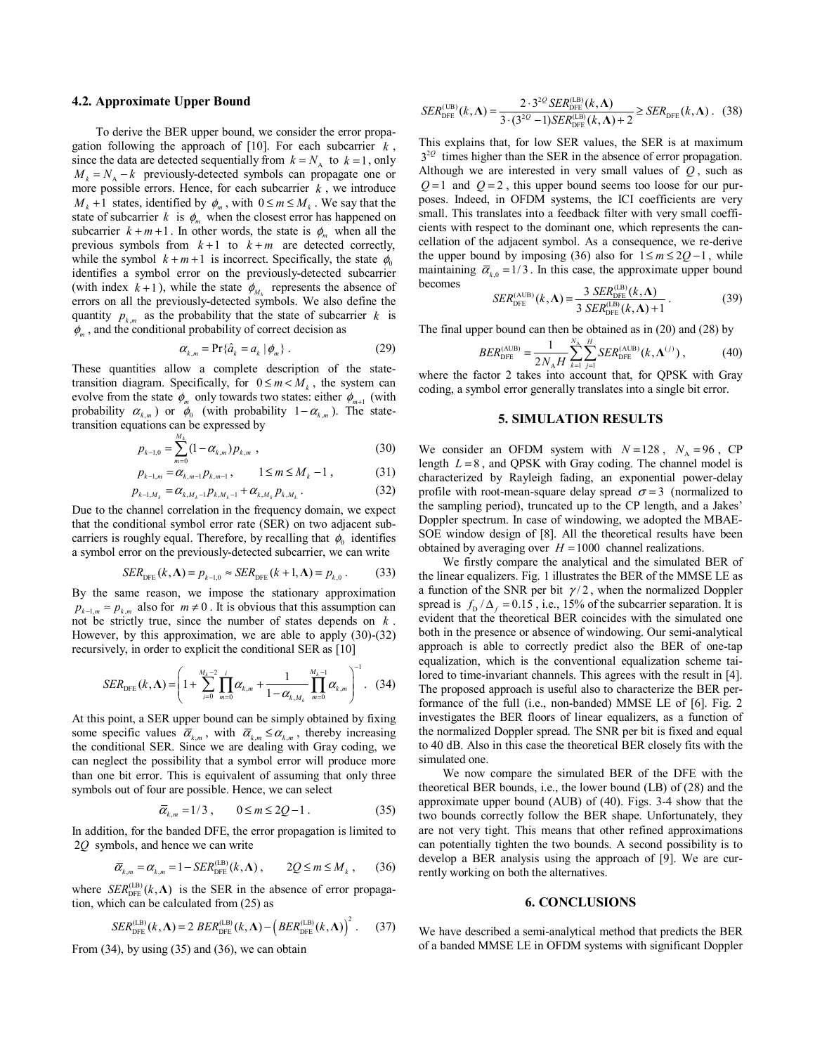## **4.2. Approximate Upper Bound**

To derive the BER upper bound, we consider the error propagation following the approach of  $[10]$ . For each subcarrier  $k$ , since the data are detected sequentially from  $k = N_A$  to  $k = 1$ , only  $M_k = N_A - k$  previously-detected symbols can propagate one or more possible errors. Hence, for each subcarrier  $k$ , we introduce  $M_k + 1$  states, identified by  $\phi_m$ , with  $0 \le m \le M_k$ . We say that the state of subcarrier *k* is  $\phi_m$  when the closest error has happened on subcarrier  $k + m + 1$ . In other words, the state is  $\phi_m$  when all the previous symbols from  $k+1$  to  $k+m$  are detected correctly, while the symbol  $k + m + 1$  is incorrect. Specifically, the state  $\phi_0$ identifies a symbol error on the previously-detected subcarrier (with index  $k+1$ ), while the state  $\phi_{M_k}$  represents the absence of errors on all the previously-detected symbols. We also define the quantity  $p_{k,m}$  as the probability that the state of subcarrier k is  $\phi_m$ , and the conditional probability of correct decision as

$$
\alpha_{k,m} = \Pr\{\hat{a}_k = a_k \mid \phi_m\} \,. \tag{29}
$$

These quantities allow a complete description of the statetransition diagram. Specifically, for  $0 \le m < M_k$ , the system can evolve from the state  $\phi_m$  only towards two states: either  $\phi_{m+1}$  (with probability  $\alpha_{k,m}$ ) or  $\phi_0$  (with probability  $1-\alpha_{k,m}$ ). The statetransition equations can be expressed by

$$
p_{k-1,0} = \sum_{m=0}^{M_k} (1 - \alpha_{k,m}) p_{k,m} \tag{30}
$$

$$
p_{k-1,m} = \alpha_{k,m-1} p_{k,m-1}, \qquad 1 \leq m \leq M_k - 1, \tag{31}
$$

$$
p_{k-1,M_k} = \alpha_{k,M_k-1} p_{k,M_k-1} + \alpha_{k,M_k} p_{k,M_k}.
$$
 (32)

Due to the channel correlation in the frequency domain, we expect that the conditional symbol error rate (SER) on two adjacent subcarriers is roughly equal. Therefore, by recalling that  $\phi_0$  identifies a symbol error on the previously-detected subcarrier, we can write

$$
SER_{\text{DFE}}(k,\Lambda) = p_{k-1,0} \approx SER_{\text{DFE}}(k+1,\Lambda) = p_{k,0}. \tag{33}
$$

By the same reason, we impose the stationary approximation  $p_{k-1,m} \approx p_{k,m}$  also for  $m \neq 0$ . It is obvious that this assumption can not be strictly true, since the number of states depends on *k* . However, by this approximation, we are able to apply (30)-(32) recursively, in order to explicit the conditional SER as [10]

$$
SER_{\text{DFE}}(k,\Lambda) = \left(1 + \sum_{i=0}^{M_k-2} \prod_{m=0}^{i} \alpha_{k,m} + \frac{1}{1 - \alpha_{k,M_k}} \prod_{m=0}^{M_k-1} \alpha_{k,m}\right)^{-1}.
$$
 (34)

At this point, a SER upper bound can be simply obtained by fixing some specific values  $\overline{\alpha}_{k,m}$ , with  $\overline{\alpha}_{k,m} \leq \alpha_{k,m}$ , thereby increasing the conditional SER. Since we are dealing with Gray coding, we can neglect the possibility that a symbol error will produce more than one bit error. This is equivalent of assuming that only three symbols out of four are possible. Hence, we can select

$$
\overline{\alpha}_{k,m} = 1/3, \qquad 0 \le m \le 2Q - 1. \tag{35}
$$

In addition, for the banded DFE, the error propagation is limited to 2*Q* symbols, and hence we can write

$$
\overline{\alpha}_{k,m} = \alpha_{k,m} = 1 - SER_{\text{DFE}}^{(\text{LB})}(k,\Lambda) , \qquad 2Q \le m \le M_k , \qquad (36)
$$

where  $SER_{\text{DFE}}^{(\text{LB})}(k,\Lambda)$  is the SER in the absence of error propagation, which can be calculated from (25) as

$$
SER_{\rm DFE}^{\rm (LB)}(k,\Lambda)=2 \ BER_{\rm DFE}^{\rm (LB)}(k,\Lambda)-\left(BER_{\rm DFE}^{\rm (LB)}(k,\Lambda)\right)^2. \tag{37}
$$

From  $(34)$ , by using  $(35)$  and  $(36)$ , we can obtain

$$
SER_{\text{DFE}}^{(\text{UB})}(k,\Lambda) = \frac{2 \cdot 3^{2Q} SER_{\text{DFE}}^{(\text{LB})}(k,\Lambda)}{3 \cdot (3^{2Q} - 1) SER_{\text{DFE}}^{(\text{LB})}(k,\Lambda) + 2} \ge SER_{\text{DFE}}(k,\Lambda). \quad (38)
$$

This explains that, for low SER values, the SER is at maximum  $3^{20}$  times higher than the SER in the absence of error propagation. Although we are interested in very small values of *Q* , such as  $Q=1$  and  $Q=2$ , this upper bound seems too loose for our purposes. Indeed, in OFDM systems, the ICI coefficients are very small. This translates into a feedback filter with very small coefficients with respect to the dominant one, which represents the cancellation of the adjacent symbol. As a consequence, we re-derive the upper bound by imposing (36) also for  $1 \le m \le 2Q - 1$ , while maintaining  $\bar{\alpha}_{k} = 1/3$ . In this case, the approximate upper bound becomes

$$
SERDFE(AUB)(k,  $\Lambda$ ) = 
$$
\frac{3 \, SERDFE(LB)(k,  $\Lambda$ )}{3 \, SER<sub>DFE</sub><sup>(LB)</sup>(k,  $\Lambda$ ) + 1}
$$
. (39)
$$

The final upper bound can then be obtained as in  $(20)$  and  $(28)$  by

$$
BER_{\text{DFE}}^{(\text{AUB})} = \frac{1}{2N_A H} \sum_{k=1}^{N_A} \sum_{j=1}^{H} SER_{\text{DFE}}^{(\text{AUB})}(k, \Lambda^{(j)}), \tag{40}
$$

where the factor 2 takes into account that, for QPSK with Gray coding, a symbol error generally translates into a single bit error.

## **5. SIMULATION RESULTS**

We consider an OFDM system with  $N=128$ ,  $N<sub>A</sub>=96$ , CP length *L* = 8 , and QPSK with Gray coding. The channel model is characterized by Rayleigh fading, an exponential power-delay profile with root-mean-square delay spread  $\sigma = 3$  (normalized to the sampling period), truncated up to the CP length, and a Jakes' Doppler spectrum. In case of windowing, we adopted the MBAE-SOE window design of [8]. All the theoretical results have been obtained by averaging over  $H = 1000$  channel realizations.

We firstly compare the analytical and the simulated BER of the linear equalizers. Fig. 1 illustrates the BER of the MMSE LE as a function of the SNR per bit  $\gamma/2$ , when the normalized Doppler spread is  $f_D / \Delta_f = 0.15$ , i.e., 15% of the subcarrier separation. It is evident that the theoretical BER coincides with the simulated one both in the presence or absence of windowing. Our semi-analytical approach is able to correctly predict also the BER of one-tap equalization, which is the conventional equalization scheme tailored to time-invariant channels. This agrees with the result in [4]. The proposed approach is useful also to characterize the BER performance of the full (i.e., non-banded) MMSE LE of [6]. Fig. 2 investigates the BER floors of linear equalizers, as a function of the normalized Doppler spread. The SNR per bit is fixed and equal to 40 dB. Also in this case the theoretical BER closely fits with the simulated one.

We now compare the simulated BER of the DFE with the theoretical BER bounds, i.e., the lower bound (LB) of (28) and the approximate upper bound (AUB) of (40). Figs. 3-4 show that the two bounds correctly follow the BER shape. Unfortunately, they are not very tight. This means that other refined approximations can potentially tighten the two bounds. A second possibility is to develop a BER analysis using the approach of [9]. We are currently working on both the alternatives.

## **6. CONCLUSIONS**

We have described a semi-analytical method that predicts the BER of a banded MMSE LE in OFDM systems with significant Doppler